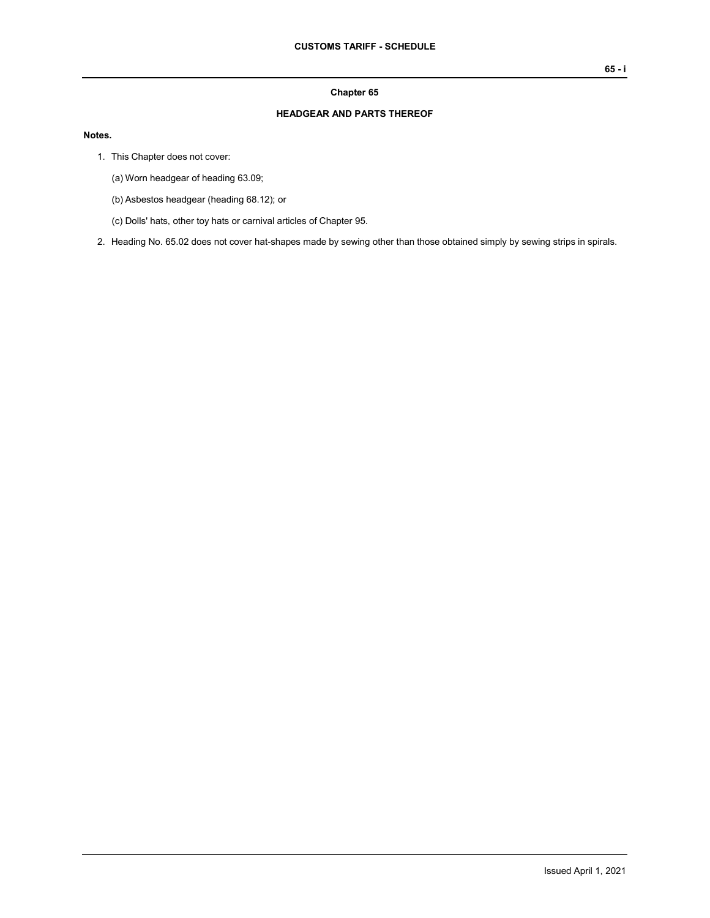## **Chapter 65**

## **HEADGEAR AND PARTS THEREOF**

## **Notes.**

- 1. This Chapter does not cover:
	- (a) Worn headgear of heading 63.09;
	- (b) Asbestos headgear (heading 68.12); or
	- (c) Dolls' hats, other toy hats or carnival articles of Chapter 95.
- 2. Heading No. 65.02 does not cover hat-shapes made by sewing other than those obtained simply by sewing strips in spirals.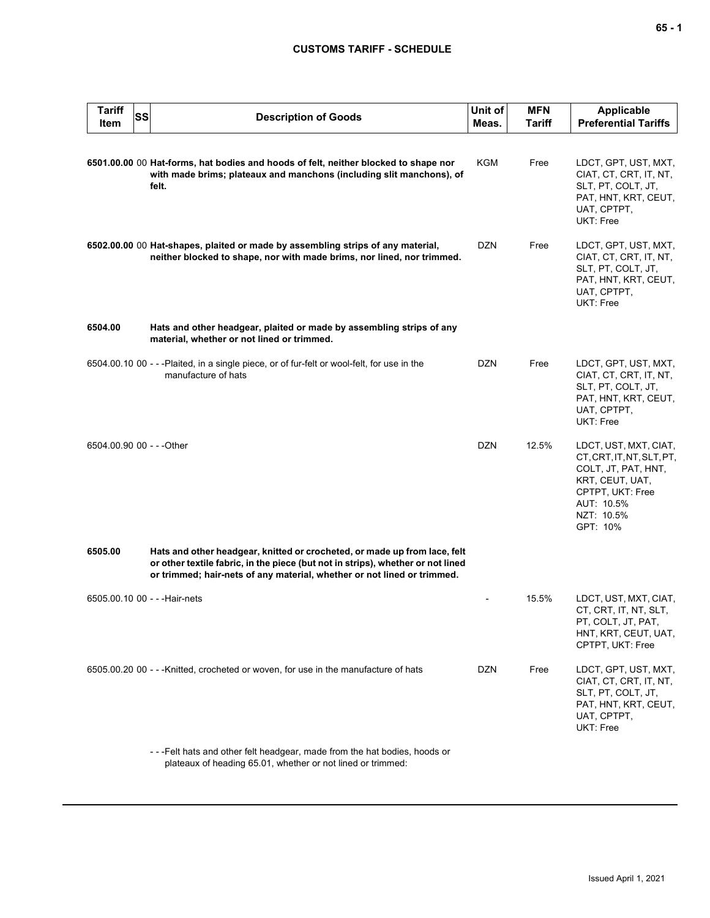## **CUSTOMS TARIFF - SCHEDULE**

| <b>Tariff</b><br>Item     | SS | <b>Description of Goods</b>                                                                                                                                                                                                             | Unit of<br>Meas. | <b>MFN</b><br>Tariff | <b>Applicable</b><br><b>Preferential Tariffs</b>                                                                                                         |
|---------------------------|----|-----------------------------------------------------------------------------------------------------------------------------------------------------------------------------------------------------------------------------------------|------------------|----------------------|----------------------------------------------------------------------------------------------------------------------------------------------------------|
|                           |    | 6501.00.00 00 Hat-forms, hat bodies and hoods of felt, neither blocked to shape nor<br>with made brims; plateaux and manchons (including slit manchons), of<br>felt.                                                                    | KGM              | Free                 | LDCT, GPT, UST, MXT,<br>CIAT, CT, CRT, IT, NT,<br>SLT, PT, COLT, JT,<br>PAT, HNT, KRT, CEUT,<br>UAT, CPTPT,<br>UKT: Free                                 |
|                           |    | 6502.00.00 00 Hat-shapes, plaited or made by assembling strips of any material,<br>neither blocked to shape, nor with made brims, nor lined, nor trimmed.                                                                               | DZN              | Free                 | LDCT, GPT, UST, MXT,<br>CIAT, CT, CRT, IT, NT,<br>SLT, PT, COLT, JT,<br>PAT, HNT, KRT, CEUT,<br>UAT, CPTPT,<br>UKT: Free                                 |
| 6504.00                   |    | Hats and other headgear, plaited or made by assembling strips of any<br>material, whether or not lined or trimmed.                                                                                                                      |                  |                      |                                                                                                                                                          |
|                           |    | 6504.00.10 00 - - -Plaited, in a single piece, or of fur-felt or wool-felt, for use in the<br>manufacture of hats                                                                                                                       | <b>DZN</b>       | Free                 | LDCT, GPT, UST, MXT,<br>CIAT, CT, CRT, IT, NT,<br>SLT, PT, COLT, JT,<br>PAT, HNT, KRT, CEUT,<br>UAT, CPTPT,<br>UKT: Free                                 |
| 6504.00.90 00 - - - Other |    |                                                                                                                                                                                                                                         | <b>DZN</b>       | 12.5%                | LDCT, UST, MXT, CIAT,<br>CT, CRT, IT, NT, SLT, PT,<br>COLT, JT, PAT, HNT,<br>KRT, CEUT, UAT,<br>CPTPT, UKT: Free<br>AUT: 10.5%<br>NZT: 10.5%<br>GPT: 10% |
| 6505.00                   |    | Hats and other headgear, knitted or crocheted, or made up from lace, felt<br>or other textile fabric, in the piece (but not in strips), whether or not lined<br>or trimmed; hair-nets of any material, whether or not lined or trimmed. |                  |                      |                                                                                                                                                          |
|                           |    | 6505.00.10 00 - - - Hair-nets                                                                                                                                                                                                           |                  | 15.5%                | LDCT, UST, MXT, CIAT,<br>CT, CRT, IT, NT, SLT,<br>PT, COLT, JT, PAT,<br>HNT, KRT, CEUT, UAT,<br>CPTPT, UKT: Free                                         |
|                           |    | 6505.00.20 00 - - -Knitted, crocheted or woven, for use in the manufacture of hats                                                                                                                                                      | <b>DZN</b>       | Free                 | LDCT, GPT, UST, MXT,<br>CIAT, CT, CRT, IT, NT,<br>SLT, PT, COLT, JT,<br>PAT, HNT, KRT, CEUT,<br>UAT, CPTPT,<br>UKT: Free                                 |
|                           |    | ---Felt hats and other felt headgear, made from the hat bodies, hoods or<br>plateaux of heading 65.01, whether or not lined or trimmed:                                                                                                 |                  |                      |                                                                                                                                                          |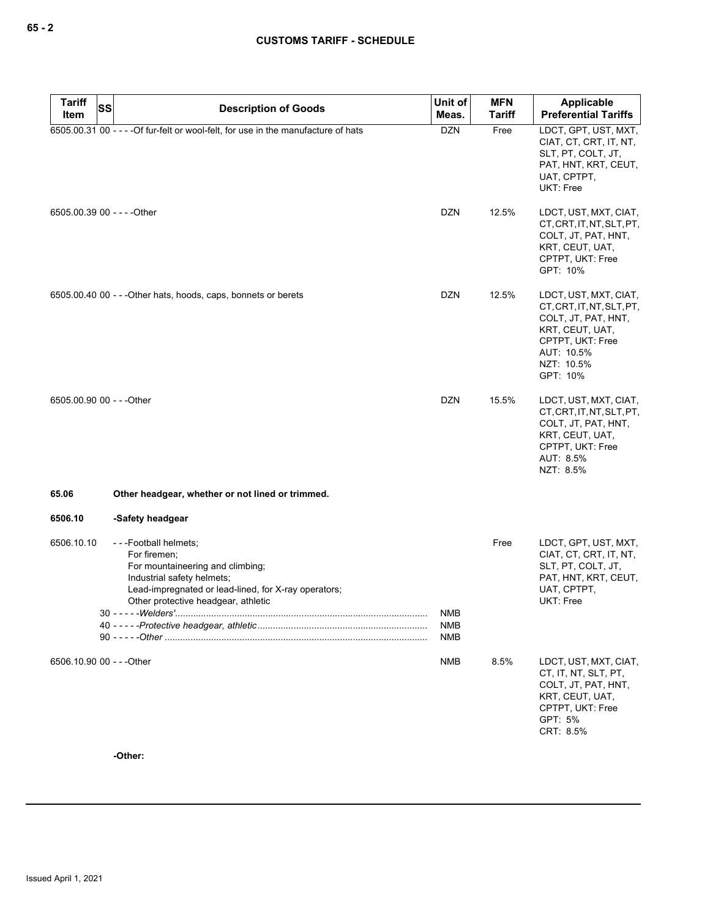**65 - 2**

| <b>Tariff</b><br><b>SS</b>  | <b>Description of Goods</b>                                                                                                                                                                                                    | Unit of                  | <b>MFN</b>    | Applicable                                                                                                                                               |
|-----------------------------|--------------------------------------------------------------------------------------------------------------------------------------------------------------------------------------------------------------------------------|--------------------------|---------------|----------------------------------------------------------------------------------------------------------------------------------------------------------|
| Item                        |                                                                                                                                                                                                                                | Meas.                    | <b>Tariff</b> | <b>Preferential Tariffs</b>                                                                                                                              |
|                             | 6505.00.31 00 - - - - Of fur-felt or wool-felt, for use in the manufacture of hats                                                                                                                                             | <b>DZN</b>               | Free          | LDCT, GPT, UST, MXT,<br>CIAT, CT, CRT, IT, NT,<br>SLT, PT, COLT, JT,<br>PAT, HNT, KRT, CEUT,<br>UAT, CPTPT,<br>UKT: Free                                 |
| 6505.00.39 00 - - - - Other |                                                                                                                                                                                                                                | <b>DZN</b>               | 12.5%         | LDCT, UST, MXT, CIAT,<br>CT, CRT, IT, NT, SLT, PT,<br>COLT, JT, PAT, HNT,<br>KRT, CEUT, UAT,<br>CPTPT, UKT: Free<br>GPT: 10%                             |
|                             | 6505.00.40 00 - - - Other hats, hoods, caps, bonnets or berets                                                                                                                                                                 | <b>DZN</b>               | 12.5%         | LDCT, UST, MXT, CIAT,<br>CT, CRT, IT, NT, SLT, PT,<br>COLT, JT, PAT, HNT,<br>KRT, CEUT, UAT,<br>CPTPT, UKT: Free<br>AUT: 10.5%<br>NZT: 10.5%<br>GPT: 10% |
| 6505.00.90 00 - - - Other   |                                                                                                                                                                                                                                | <b>DZN</b>               | 15.5%         | LDCT, UST, MXT, CIAT,<br>CT, CRT, IT, NT, SLT, PT,<br>COLT, JT, PAT, HNT,<br>KRT, CEUT, UAT,<br>CPTPT, UKT: Free<br>AUT: 8.5%<br>NZT: 8.5%               |
| 65.06                       | Other headgear, whether or not lined or trimmed.                                                                                                                                                                               |                          |               |                                                                                                                                                          |
| 6506.10                     | -Safety headgear                                                                                                                                                                                                               |                          |               |                                                                                                                                                          |
| 6506.10.10                  | ---Football helmets;<br>For firemen:<br>For mountaineering and climbing;<br>Industrial safety helmets;<br>Lead-impregnated or lead-lined, for X-ray operators;<br>Other protective headgear, athletic<br>$30 - - -$ - Welders' | <b>NMB</b><br><b>NMB</b> | Free          | LDCT, GPT, UST, MXT,<br>CIAT, CT, CRT, IT, NT,<br>SLT, PT, COLT, JT,<br>PAT, HNT, KRT, CEUT,<br>UAT, CPTPT,<br>UKT: Free                                 |
|                             |                                                                                                                                                                                                                                | <b>NMB</b>               |               |                                                                                                                                                          |
| 6506.10.90 00 - - - Other   |                                                                                                                                                                                                                                | NMB                      | 8.5%          | LDCT, UST, MXT, CIAT,<br>CT, IT, NT, SLT, PT,<br>COLT, JT, PAT, HNT,<br>KRT, CEUT, UAT,<br>CPTPT, UKT: Free<br>GPT: 5%<br>CRT: 8.5%                      |

**-Other:**